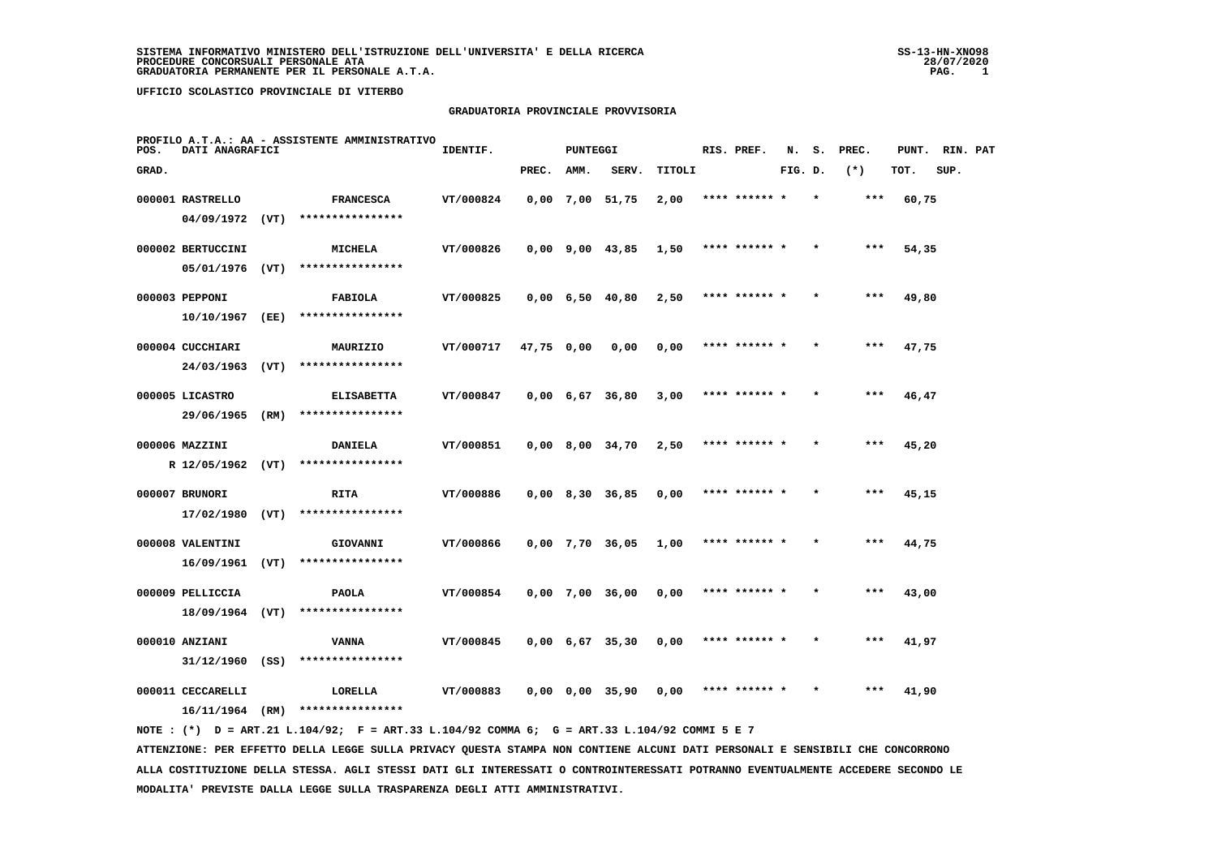#### **GRADUATORIA PROVINCIALE PROVVISORIA**

| POS.  | DATI ANAGRAFICI                     |      | PROFILO A.T.A.: AA - ASSISTENTE AMMINISTRATIVO                                              | IDENTIF.  |            | <b>PUNTEGGI</b> |                               |        | RIS. PREF.    | N.      | s.      | PREC. | PUNT. RIN. PAT |      |  |
|-------|-------------------------------------|------|---------------------------------------------------------------------------------------------|-----------|------------|-----------------|-------------------------------|--------|---------------|---------|---------|-------|----------------|------|--|
| GRAD. |                                     |      |                                                                                             |           | PREC.      | AMM.            | SERV.                         | TITOLI |               | FIG. D. |         | $(*)$ | TOT.           | SUP. |  |
|       | 000001 RASTRELLO                    |      | <b>FRANCESCA</b>                                                                            | VT/000824 |            |                 | $0,00$ 7,00 51,75             | 2,00   | **** ****** * |         | $\star$ | ***   | 60,75          |      |  |
|       | $04/09/1972$ (VT)                   |      | ****************                                                                            |           |            |                 |                               |        |               |         |         |       |                |      |  |
|       | 000002 BERTUCCINI                   |      | <b>MICHELA</b>                                                                              | VT/000826 |            |                 | 0,00 9,00 43,85               | 1,50   | **** ****** * |         |         | $***$ | 54,35          |      |  |
|       | $05/01/1976$ (VT)                   |      | ****************                                                                            |           |            |                 |                               |        |               |         |         |       |                |      |  |
|       | 000003 PEPPONI                      |      | <b>FABIOLA</b>                                                                              | VT/000825 |            |                 | $0,00$ 6,50 40,80             | 2,50   | **** ****** * |         |         | $***$ | 49,80          |      |  |
|       | 10/10/1967                          | (EE) | ****************                                                                            |           |            |                 |                               |        |               |         |         |       |                |      |  |
|       | 000004 CUCCHIARI                    |      | MAURIZIO                                                                                    | VT/000717 | 47,75 0,00 |                 | 0,00                          | 0,00   | **** ****** * |         |         | $***$ | 47,75          |      |  |
|       | 24/03/1963                          | (VT) | ****************                                                                            |           |            |                 |                               |        |               |         |         |       |                |      |  |
|       | 000005 LICASTRO                     |      | <b>ELISABETTA</b>                                                                           | VT/000847 |            |                 | $0,00 \quad 6,67 \quad 36,80$ | 3,00   | **** ****** * |         |         | ***   | 46,47          |      |  |
|       | 29/06/1965                          | (RM) | ****************                                                                            |           |            |                 |                               |        |               |         |         |       |                |      |  |
|       | 000006 MAZZINI                      |      | <b>DANIELA</b>                                                                              | VT/000851 |            |                 | $0,00$ 8,00 34,70             | 2,50   | **** ******   |         |         |       | 45,20          |      |  |
|       | R 12/05/1962 (VT)                   |      | ****************                                                                            |           |            |                 |                               |        |               |         |         |       |                |      |  |
|       | 000007 BRUNORI                      |      | RITA                                                                                        | VT/000886 |            |                 | $0,00$ 8,30 36,85             | 0,00   | **** ****** * |         |         | ***   | 45,15          |      |  |
|       | $17/02/1980$ (VT)                   |      | ****************                                                                            |           |            |                 |                               |        |               |         |         |       |                |      |  |
|       | 000008 VALENTINI                    |      | GIOVANNI                                                                                    | VT/000866 |            |                 | $0,00$ 7,70 36,05             | 1,00   | **** ****** * |         |         | $***$ | 44,75          |      |  |
|       | 16/09/1961 (VT)                     |      | ****************                                                                            |           |            |                 |                               |        |               |         |         |       |                |      |  |
|       | 000009 PELLICCIA                    |      | <b>PAOLA</b><br>****************                                                            | VT/000854 |            |                 | $0,00$ 7,00 36,00             | 0,00   | **** ****** * |         |         | $***$ | 43,00          |      |  |
|       | 18/09/1964 (VT)                     |      |                                                                                             |           |            |                 |                               |        |               |         |         |       |                |      |  |
|       | 000010 ANZIANI<br>$31/12/1960$ (SS) |      | <b>VANNA</b><br>****************                                                            | VT/000845 |            |                 | $0,00 \quad 6,67 \quad 35,30$ | 0,00   | **** ****** * |         |         | ***   | 41,97          |      |  |
|       |                                     |      |                                                                                             |           |            |                 |                               |        |               |         |         |       |                |      |  |
|       | 000011 CECCARELLI                   |      | LORELLA<br>$16/11/1964$ (RM) ****************                                               | VT/000883 |            |                 | $0,00$ $0,00$ $35,90$         | 0,00   | **** ****** * |         |         | ***   | 41,90          |      |  |
|       |                                     |      | NOTE: (*) D = ART.21 L.104/92; F = ART.33 L.104/92 COMMA 6; G = ART.33 L.104/92 COMMI 5 E 7 |           |            |                 |                               |        |               |         |         |       |                |      |  |

 **ATTENZIONE: PER EFFETTO DELLA LEGGE SULLA PRIVACY QUESTA STAMPA NON CONTIENE ALCUNI DATI PERSONALI E SENSIBILI CHE CONCORRONO ALLA COSTITUZIONE DELLA STESSA. AGLI STESSI DATI GLI INTERESSATI O CONTROINTERESSATI POTRANNO EVENTUALMENTE ACCEDERE SECONDO LE MODALITA' PREVISTE DALLA LEGGE SULLA TRASPARENZA DEGLI ATTI AMMINISTRATIVI.**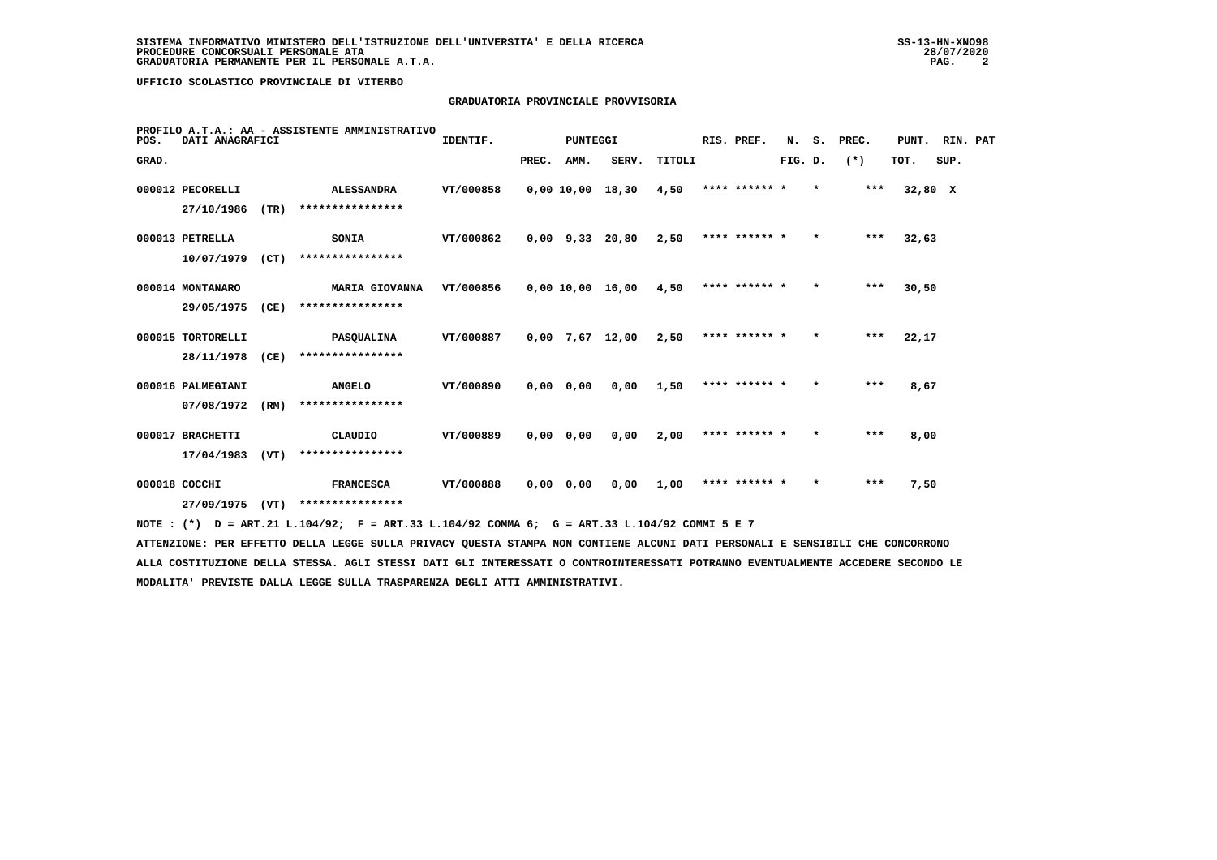# **GRADUATORIA PROVINCIALE PROVVISORIA**

| POS.  | DATI ANAGRAFICI   |      | PROFILO A.T.A.: AA - ASSISTENTE AMMINISTRATIVO                                              | IDENTIF.         |       | PUNTEGGI    |                   |        | RIS. PREF.    | N.      | s.      | PREC.   | PUNT.   | RIN. PAT |  |
|-------|-------------------|------|---------------------------------------------------------------------------------------------|------------------|-------|-------------|-------------------|--------|---------------|---------|---------|---------|---------|----------|--|
| GRAD. |                   |      |                                                                                             |                  | PREC. | AMM.        | SERV.             | TITOLI |               | FIG. D. |         | $(*)$   | TOT.    | SUP.     |  |
|       | 000012 PECORELLI  |      | <b>ALESSANDRA</b>                                                                           | VT/000858        |       |             | 0,00 10,00 18,30  | 4,50   | **** ****** * |         | $\star$ | ***     | 32,80 X |          |  |
|       | 27/10/1986        | (TR) | ****************                                                                            |                  |       |             |                   |        |               |         |         |         |         |          |  |
|       | 000013 PETRELLA   |      | SONIA                                                                                       | VT/000862        |       |             | $0,00$ 9,33 20,80 | 2,50   | **** ****** * |         | $\star$ | $* * *$ | 32,63   |          |  |
|       | 10/07/1979        | (CT) | ****************                                                                            |                  |       |             |                   |        |               |         |         |         |         |          |  |
|       | 000014 MONTANARO  |      | <b>MARIA GIOVANNA</b>                                                                       | VT/000856        |       |             | 0,00 10,00 16,00  | 4,50   | **** ****** * |         | $\star$ | ***     | 30,50   |          |  |
|       | 29/05/1975        | (CE) | ****************                                                                            |                  |       |             |                   |        |               |         |         |         |         |          |  |
|       | 000015 TORTORELLI |      | <b>PASQUALINA</b>                                                                           | <b>VT/000887</b> |       |             | $0,00$ 7,67 12,00 | 2,50   | **** ****** * |         | $\star$ | ***     | 22,17   |          |  |
|       | 28/11/1978        | (CE) | ****************                                                                            |                  |       |             |                   |        |               |         |         |         |         |          |  |
|       | 000016 PALMEGIANI |      | <b>ANGELO</b>                                                                               | VT/000890        |       | $0,00$ 0,00 | 0,00              | 1,50   | **** ****** * |         | $\star$ | ***     | 8,67    |          |  |
|       | 07/08/1972        | (RM) | ****************                                                                            |                  |       |             |                   |        |               |         |         |         |         |          |  |
|       | 000017 BRACHETTI  |      | CLAUDIO                                                                                     | <b>VT/000889</b> |       | $0,00$ 0,00 | 0,00              | 2,00   | **** ****** * |         | $\star$ | ***     | 8,00    |          |  |
|       | 17/04/1983        | (VT) | ****************                                                                            |                  |       |             |                   |        |               |         |         |         |         |          |  |
|       | 000018 COCCHI     |      | <b>FRANCESCA</b>                                                                            | VT/000888        |       | $0,00$ 0,00 | 0,00              | 1,00   | **** ****** * |         |         | ***     | 7,50    |          |  |
|       | 27/09/1975        | (VT) | ****************                                                                            |                  |       |             |                   |        |               |         |         |         |         |          |  |
|       |                   |      | NOTE: (*) D = ART.21 L.104/92; F = ART.33 L.104/92 COMMA 6; G = ART.33 L.104/92 COMMI 5 E 7 |                  |       |             |                   |        |               |         |         |         |         |          |  |

 **ATTENZIONE: PER EFFETTO DELLA LEGGE SULLA PRIVACY QUESTA STAMPA NON CONTIENE ALCUNI DATI PERSONALI E SENSIBILI CHE CONCORRONO ALLA COSTITUZIONE DELLA STESSA. AGLI STESSI DATI GLI INTERESSATI O CONTROINTERESSATI POTRANNO EVENTUALMENTE ACCEDERE SECONDO LE MODALITA' PREVISTE DALLA LEGGE SULLA TRASPARENZA DEGLI ATTI AMMINISTRATIVI.**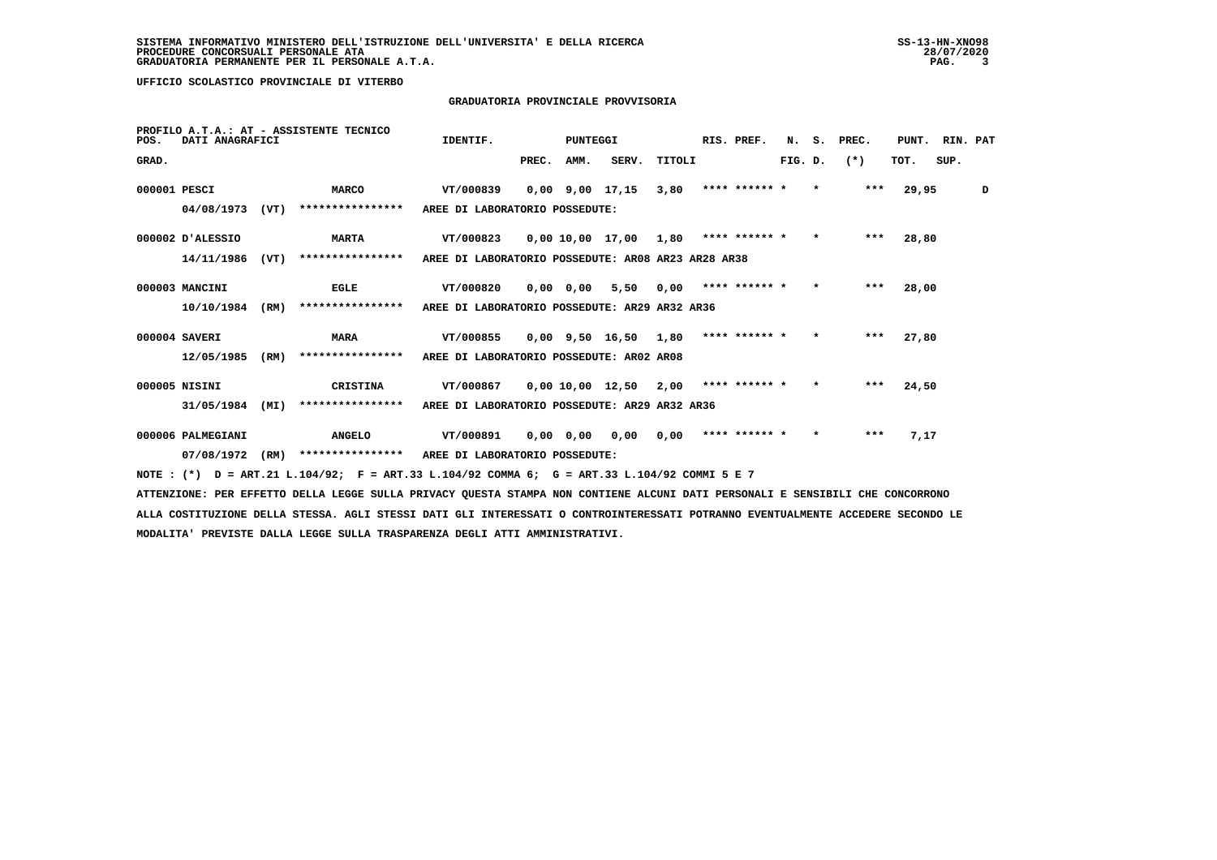# **GRADUATORIA PROVINCIALE PROVVISORIA**

| POS.         | DATI ANAGRAFICI   |      | PROFILO A.T.A.: AT - ASSISTENTE TECNICO | IDENTIF.                                           |       | PUNTEGGI    |                       |        | RIS. PREF.    | N.      | s.      | PREC. | PUNT. | RIN. PAT |   |
|--------------|-------------------|------|-----------------------------------------|----------------------------------------------------|-------|-------------|-----------------------|--------|---------------|---------|---------|-------|-------|----------|---|
| GRAD.        |                   |      |                                         |                                                    | PREC. | AMM.        | SERV.                 | TITOLI |               | FIG. D. |         | $(*)$ | TOT.  | SUP.     |   |
| 000001 PESCI |                   |      | <b>MARCO</b>                            | VT/000839                                          |       |             | $0.00$ $9.00$ $17.15$ | 3,80   | **** ****** * |         | $\star$ | ***   | 29,95 |          | D |
|              | 04/08/1973        | (VT) | ****************                        | AREE DI LABORATORIO POSSEDUTE:                     |       |             |                       |        |               |         |         |       |       |          |   |
|              | 000002 D'ALESSIO  |      | <b>MARTA</b>                            | VT/000823                                          |       |             | 0,00 10,00 17,00      | 1,80   | **** ****** * |         | $\star$ | $***$ | 28,80 |          |   |
|              | 14/11/1986        | (VT) | ****************                        | AREE DI LABORATORIO POSSEDUTE: AR08 AR23 AR28 AR38 |       |             |                       |        |               |         |         |       |       |          |   |
|              | 000003 MANCINI    |      | <b>EGLE</b>                             | VT/000820                                          |       | $0,00$ 0,00 | 5,50                  | 0,00   | **** ****** * |         | $\star$ | $***$ | 28,00 |          |   |
|              | 10/10/1984        | (RM) | ****************                        | AREE DI LABORATORIO POSSEDUTE: AR29 AR32 AR36      |       |             |                       |        |               |         |         |       |       |          |   |
|              | 000004 SAVERI     |      | <b>MARA</b>                             | VT/000855                                          |       |             | $0,00$ 9,50 16,50     | 1,80   | **** ****** * |         | $\star$ | $***$ | 27,80 |          |   |
|              | 12/05/1985        | (RM) | ****************                        | AREE DI LABORATORIO POSSEDUTE: AR02 AR08           |       |             |                       |        |               |         |         |       |       |          |   |
|              | 000005 NISINI     |      | <b>CRISTINA</b>                         | VT/000867                                          |       |             | 0,00 10,00 12,50      | 2,00   | **** ****** * |         | $\star$ | $***$ | 24,50 |          |   |
|              | 31/05/1984        | (MI) | ****************                        | AREE DI LABORATORIO POSSEDUTE: AR29 AR32 AR36      |       |             |                       |        |               |         |         |       |       |          |   |
|              | 000006 PALMEGIANI |      | <b>ANGELO</b>                           | VT/000891                                          |       | $0,00$ 0,00 | 0,00                  | 0.00   | **** ****** * |         | $\star$ | ***   | 7,17  |          |   |
|              | 07/08/1972        | (RM) | ****************                        | AREE DI LABORATORIO POSSEDUTE:                     |       |             |                       |        |               |         |         |       |       |          |   |
|              |                   |      |                                         |                                                    |       |             |                       |        |               |         |         |       |       |          |   |

 **NOTE : (\*) D = ART.21 L.104/92; F = ART.33 L.104/92 COMMA 6; G = ART.33 L.104/92 COMMI 5 E 7**

 **ATTENZIONE: PER EFFETTO DELLA LEGGE SULLA PRIVACY QUESTA STAMPA NON CONTIENE ALCUNI DATI PERSONALI E SENSIBILI CHE CONCORRONO ALLA COSTITUZIONE DELLA STESSA. AGLI STESSI DATI GLI INTERESSATI O CONTROINTERESSATI POTRANNO EVENTUALMENTE ACCEDERE SECONDO LE MODALITA' PREVISTE DALLA LEGGE SULLA TRASPARENZA DEGLI ATTI AMMINISTRATIVI.**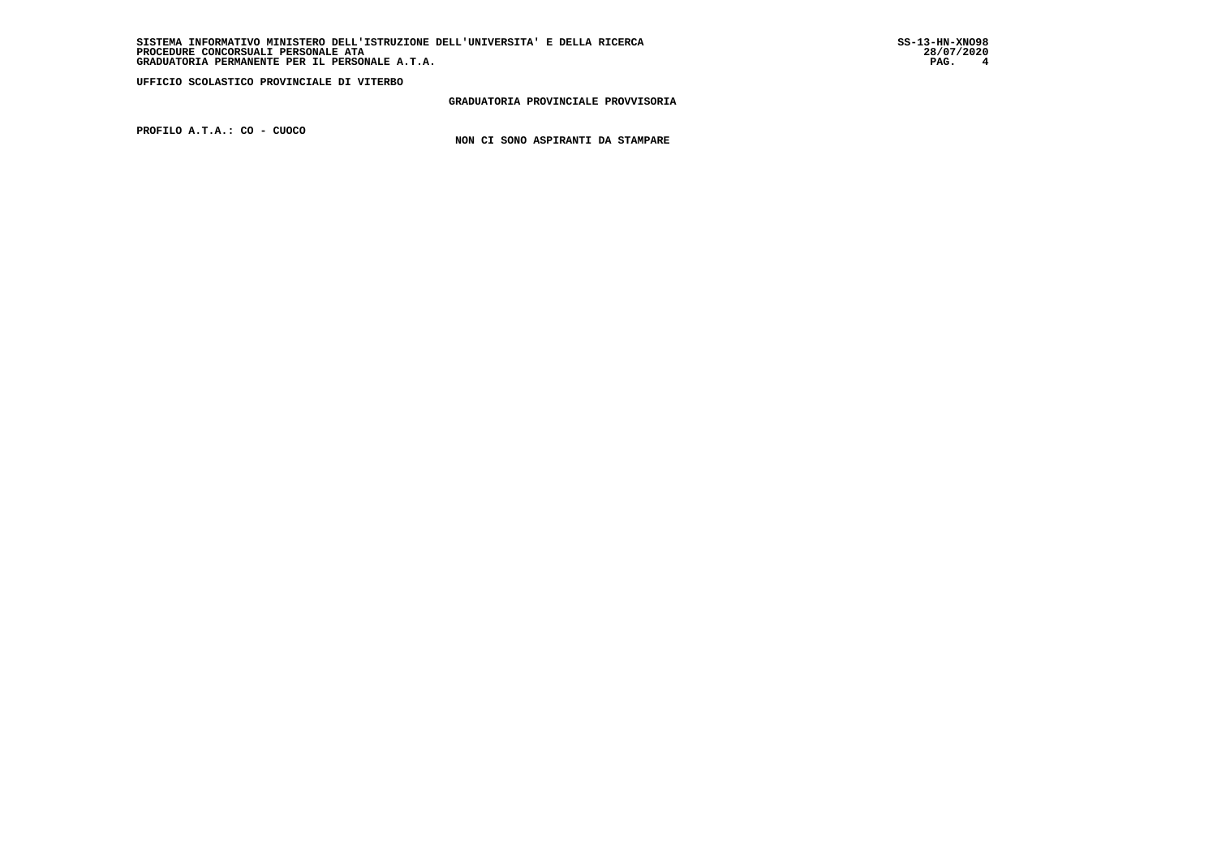**GRADUATORIA PROVINCIALE PROVVISORIA**

 **PROFILO A.T.A.: CO - CUOCO**

 **NON CI SONO ASPIRANTI DA STAMPARE**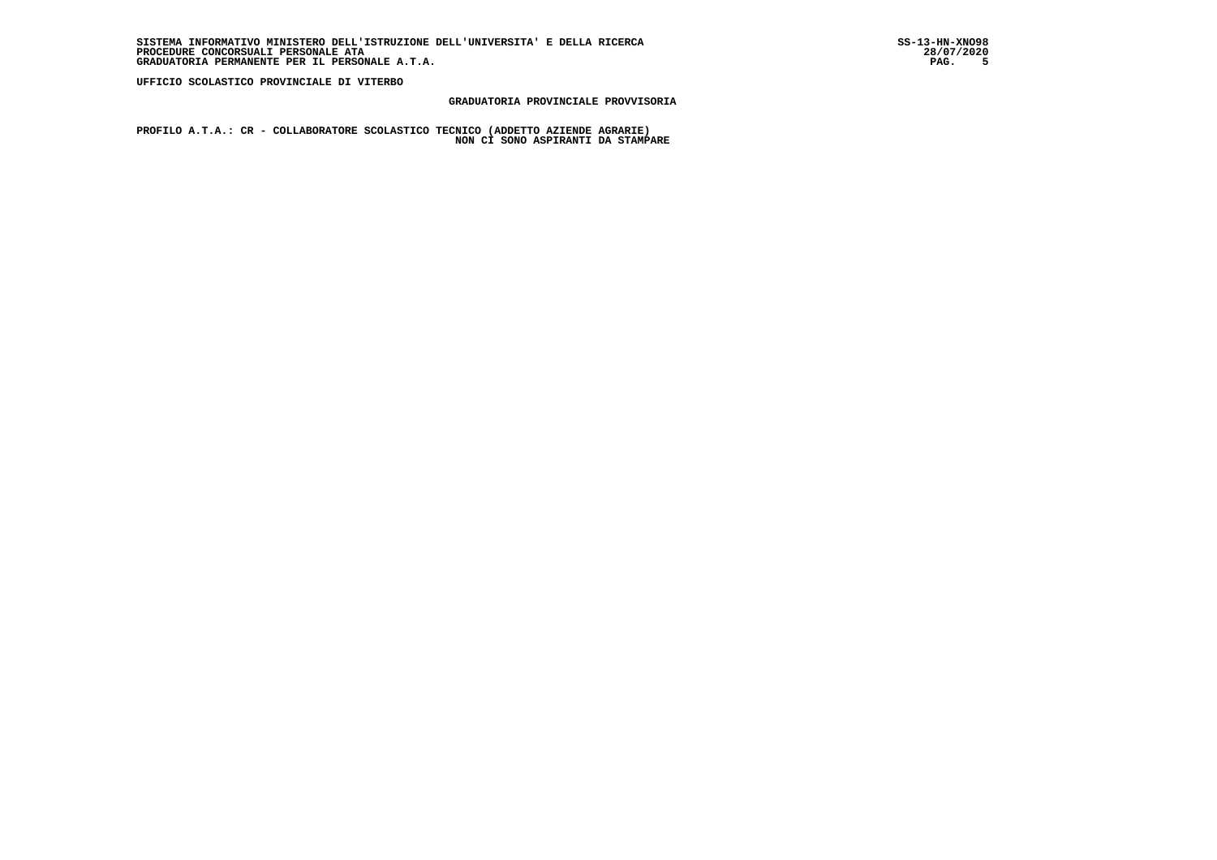28/07/2020

PAG. 5

 **UFFICIO SCOLASTICO PROVINCIALE DI VITERBO**

# **GRADUATORIA PROVINCIALE PROVVISORIA**

 **PROFILO A.T.A.: CR - COLLABORATORE SCOLASTICO TECNICO (ADDETTO AZIENDE AGRARIE) NON CI SONO ASPIRANTI DA STAMPARE**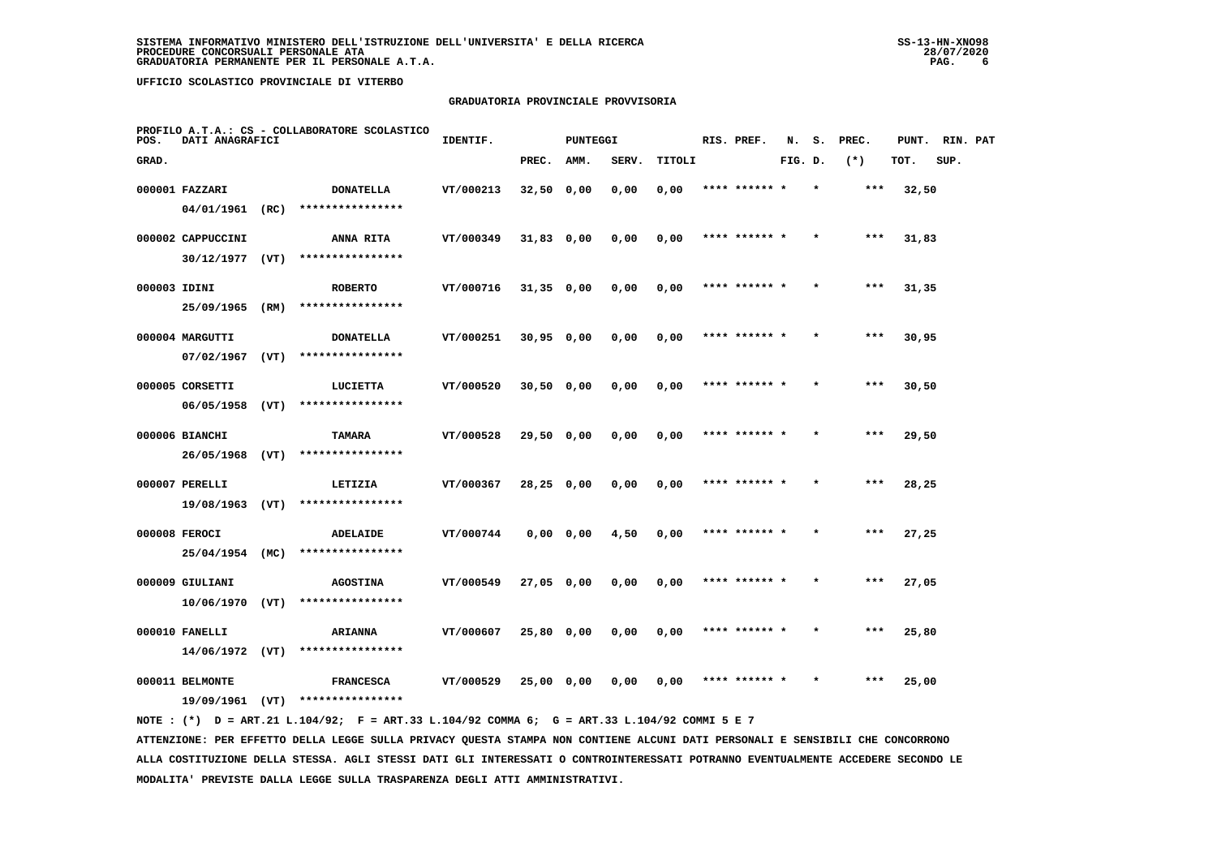# **GRADUATORIA PROVINCIALE PROVVISORIA**

| POS.         | DATI ANAGRAFICI   |      | PROFILO A.T.A.: CS - COLLABORATORE SCOLASTICO | IDENTIF.  |              | PUNTEGGI  |       |        | RIS. PREF.    | N.      | s.      | PREC. | PUNT. | RIN. PAT |  |
|--------------|-------------------|------|-----------------------------------------------|-----------|--------------|-----------|-------|--------|---------------|---------|---------|-------|-------|----------|--|
| GRAD.        |                   |      |                                               |           | PREC.        | AMM.      | SERV. | TITOLI |               | FIG. D. |         | $(*)$ | TOT.  | SUP.     |  |
|              | 000001 FAZZARI    |      | <b>DONATELLA</b>                              | VT/000213 | $32,50$ 0,00 |           | 0,00  | 0,00   | **** ****** * |         | $\star$ | ***   | 32,50 |          |  |
|              | 04/01/1961 (RC)   |      | ****************                              |           |              |           |       |        |               |         |         |       |       |          |  |
|              | 000002 CAPPUCCINI |      | <b>ANNA RITA</b>                              | VT/000349 | 31,83 0,00   |           | 0,00  | 0,00   | **** ****** * |         |         | ***   | 31,83 |          |  |
|              | 30/12/1977        | (VT) | ****************                              |           |              |           |       |        |               |         |         |       |       |          |  |
| 000003 IDINI |                   |      | <b>ROBERTO</b>                                | VT/000716 | $31,35$ 0,00 |           | 0,00  | 0,00   | **** ****** * |         |         | ***   | 31,35 |          |  |
|              | 25/09/1965        | (RM) | ****************                              |           |              |           |       |        |               |         |         |       |       |          |  |
|              | 000004 MARGUTTI   |      | <b>DONATELLA</b>                              | VT/000251 | $30,95$ 0,00 |           | 0,00  | 0,00   | **** ****** * |         |         | $***$ | 30,95 |          |  |
|              | 07/02/1967        | (VT) | ****************                              |           |              |           |       |        |               |         |         |       |       |          |  |
|              | 000005 CORSETTI   |      | LUCIETTA                                      | VT/000520 | $30,50$ 0,00 |           | 0,00  | 0,00   | **** ****** * |         |         | ***   | 30,50 |          |  |
|              | 06/05/1958        | (VT) | ****************                              |           |              |           |       |        |               |         |         |       |       |          |  |
|              | 000006 BIANCHI    |      | TAMARA                                        | VT/000528 | 29,50 0,00   |           | 0,00  | 0,00   | **** ****** * |         | $\star$ | $***$ | 29,50 |          |  |
|              | 26/05/1968 (VT)   |      | ****************                              |           |              |           |       |        |               |         |         |       |       |          |  |
|              | 000007 PERELLI    |      | LETIZIA                                       | VT/000367 | $28,25$ 0,00 |           | 0,00  | 0,00   |               |         |         |       | 28,25 |          |  |
|              | $19/08/1963$ (VT) |      | ****************                              |           |              |           |       |        |               |         |         |       |       |          |  |
|              | 000008 FEROCI     |      | ADELAIDE                                      | VT/000744 |              | 0,0000,00 | 4,50  | 0,00   | **** ****** * |         |         | $***$ | 27,25 |          |  |
|              | 25/04/1954 (MC)   |      | ****************                              |           |              |           |       |        |               |         |         |       |       |          |  |
|              | 000009 GIULIANI   |      | <b>AGOSTINA</b>                               | VT/000549 | 27,05 0,00   |           | 0,00  | 0,00   | **** ****** * |         |         | $***$ | 27,05 |          |  |
|              | 10/06/1970        | (VT) | ****************                              |           |              |           |       |        |               |         |         |       |       |          |  |
|              | 000010 FANELLI    |      | <b>ARIANNA</b>                                | VT/000607 | 25,80 0,00   |           | 0,00  | 0,00   | **** ****** * |         |         | $***$ | 25,80 |          |  |
|              | $14/06/1972$ (VT) |      | ****************                              |           |              |           |       |        |               |         |         |       |       |          |  |
|              | 000011 BELMONTE   |      | <b>FRANCESCA</b>                              | VT/000529 | 25,00 0,00   |           | 0,00  | 0,00   |               |         |         | ***   | 25,00 |          |  |
|              | 19/09/1961        | (VT) | ****************                              |           |              |           |       |        |               |         |         |       |       |          |  |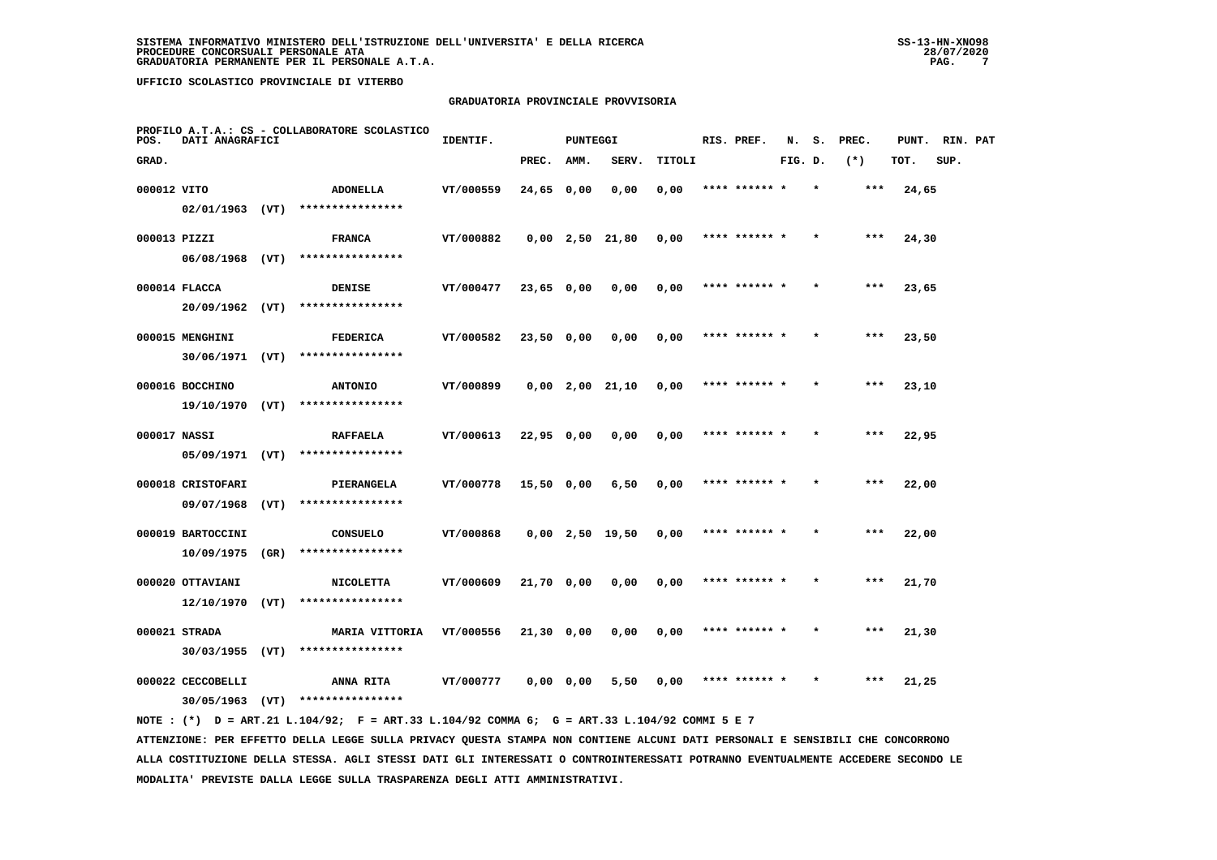# **GRADUATORIA PROVINCIALE PROVVISORIA**

| POS.         | DATI ANAGRAFICI                       |      | PROFILO A.T.A.: CS - COLLABORATORE SCOLASTICO | IDENTIF.  |              | <b>PUNTEGGI</b> |                   |        | RIS. PREF.    | N.      | s. | PREC. | PUNT. | RIN. PAT |  |
|--------------|---------------------------------------|------|-----------------------------------------------|-----------|--------------|-----------------|-------------------|--------|---------------|---------|----|-------|-------|----------|--|
| GRAD.        |                                       |      |                                               |           | PREC.        | AMM.            | SERV.             | TITOLI |               | FIG. D. |    | $(*)$ | TOT.  | SUP.     |  |
| 000012 VITO  |                                       |      | <b>ADONELLA</b>                               | VT/000559 | $24,65$ 0,00 |                 | 0,00              | 0,00   | **** ****** * |         |    | $***$ | 24,65 |          |  |
|              | $02/01/1963$ (VT)                     |      | ****************                              |           |              |                 |                   |        |               |         |    |       |       |          |  |
| 000013 PIZZI |                                       |      | <b>FRANCA</b>                                 | VT/000882 |              |                 | $0,00$ 2,50 21,80 | 0,00   | **** ****** * |         |    | ***   | 24,30 |          |  |
|              | $06/08/1968$ (VT)                     |      | ****************                              |           |              |                 |                   |        |               |         |    |       |       |          |  |
|              | 000014 FLACCA                         |      | <b>DENISE</b>                                 | VT/000477 | $23,65$ 0,00 |                 | 0,00              | 0,00   | **** ****** * |         |    | $***$ | 23,65 |          |  |
|              | 20/09/1962 (VT)                       |      | ****************                              |           |              |                 |                   |        |               |         |    |       |       |          |  |
|              | 000015 MENGHINI                       |      | <b>FEDERICA</b>                               | VT/000582 | 23,50 0,00   |                 | 0,00              | 0,00   | **** ****** * |         |    | ***   | 23,50 |          |  |
|              | 30/06/1971 (VT)                       |      | ****************                              |           |              |                 |                   |        |               |         |    |       |       |          |  |
|              | 000016 BOCCHINO                       |      | <b>ANTONIO</b>                                | VT/000899 |              |                 | $0,00$ 2,00 21,10 | 0,00   | **** ****** * |         |    | $***$ | 23,10 |          |  |
|              | 19/10/1970 (VT)                       |      | ****************                              |           |              |                 |                   |        |               |         |    |       |       |          |  |
| 000017 NASSI |                                       |      | <b>RAFFAELA</b><br>****************           | VT/000613 | $22,95$ 0,00 |                 | 0,00              | 0,00   | **** ****** * |         |    | $***$ | 22,95 |          |  |
|              | $05/09/1971$ (VT)                     |      |                                               |           |              |                 |                   |        |               |         |    |       |       |          |  |
|              | 000018 CRISTOFARI<br>09/07/1968       | (VT) | PIERANGELA<br>****************                | VT/000778 | 15,50 0,00   |                 | 6,50              | 0,00   | **** ****** * |         |    | $***$ | 22,00 |          |  |
|              |                                       |      |                                               |           |              |                 |                   |        |               |         |    |       |       |          |  |
|              | 000019 BARTOCCINI<br>10/09/1975       | (GR) | <b>CONSUELO</b><br>****************           | VT/000868 |              |                 | $0,00$ 2,50 19,50 | 0,00   | **** ****** * |         |    | ***   | 22,00 |          |  |
|              |                                       |      |                                               |           |              |                 |                   |        |               |         |    | ***   |       |          |  |
|              | 000020 OTTAVIANI<br>$12/10/1970$ (VT) |      | <b>NICOLETTA</b><br>****************          | VT/000609 | 21,70 0,00   |                 | 0,00              | 0,00   | **** ****** * |         |    |       | 21,70 |          |  |
|              | 000021 STRADA                         |      | MARIA VITTORIA                                | VT/000556 | 21,30 0,00   |                 | 0,00              | 0,00   | **** ****** * |         |    | $***$ | 21,30 |          |  |
|              | 30/03/1955                            | (VT) | ****************                              |           |              |                 |                   |        |               |         |    |       |       |          |  |
|              | 000022 CECCOBELLI                     |      | <b>ANNA RITA</b>                              | VT/000777 | 0,0000,00    |                 | 5,50              | 0,00   | **** ****** * |         |    | $***$ | 21,25 |          |  |
|              | 30/05/1963                            | (VT) | ****************                              |           |              |                 |                   |        |               |         |    |       |       |          |  |
|              |                                       |      |                                               |           |              |                 |                   |        |               |         |    |       |       |          |  |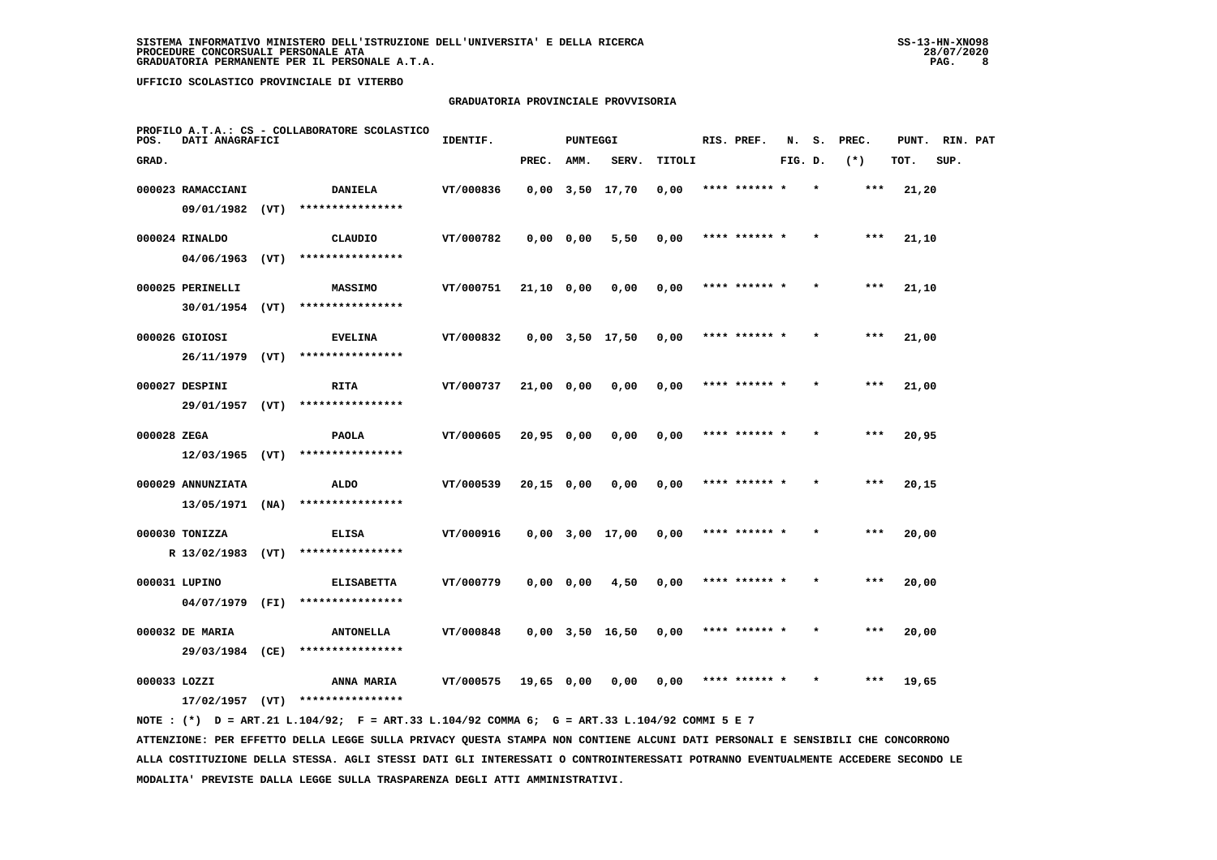# **GRADUATORIA PROVINCIALE PROVVISORIA**

| POS.        | DATI ANAGRAFICI   |      | PROFILO A.T.A.: CS - COLLABORATORE SCOLASTICO | IDENTIF.  |              | PUNTEGGI  |                       |        |      | RIS. PREF.    | N.      | s.      | PREC. | PUNT. | RIN. PAT |  |
|-------------|-------------------|------|-----------------------------------------------|-----------|--------------|-----------|-----------------------|--------|------|---------------|---------|---------|-------|-------|----------|--|
| GRAD.       |                   |      |                                               |           | PREC.        | AMM.      | SERV.                 | TITOLI |      |               | FIG. D. |         | $(*)$ | TOT.  | SUP.     |  |
|             | 000023 RAMACCIANI |      | <b>DANIELA</b>                                | VT/000836 |              |           | $0,00$ $3,50$ $17,70$ | 0,00   |      | **** ******   |         |         | $***$ | 21,20 |          |  |
|             | 09/01/1982 (VT)   |      | ****************                              |           |              |           |                       |        |      |               |         |         |       |       |          |  |
|             | 000024 RINALDO    |      | CLAUDIO                                       | VT/000782 |              | 0,0000,00 | 5,50                  | 0,00   |      | **** ****** * |         |         | $***$ | 21,10 |          |  |
|             | 04/06/1963        | (VT) | ****************                              |           |              |           |                       |        |      |               |         |         |       |       |          |  |
|             | 000025 PERINELLI  |      | <b>MASSIMO</b>                                | VT/000751 | 21,10 0,00   |           | 0,00                  | 0,00   |      | **** ****** * |         | $\star$ | ***   | 21,10 |          |  |
|             | 30/01/1954        | (VT) | ****************                              |           |              |           |                       |        |      |               |         |         |       |       |          |  |
|             | 000026 GIOIOSI    |      | <b>EVELINA</b>                                | VT/000832 |              |           | $0,00$ $3,50$ $17,50$ | 0,00   |      | **** ****** * |         |         | $***$ | 21,00 |          |  |
|             | 26/11/1979 (VT)   |      | ****************                              |           |              |           |                       |        |      |               |         |         |       |       |          |  |
|             | 000027 DESPINI    |      | <b>RITA</b>                                   | VT/000737 | $21,00$ 0,00 |           | 0,00                  | 0,00   |      | **** ****** * |         | $\star$ | $***$ | 21,00 |          |  |
|             | 29/01/1957 (VT)   |      | ****************                              |           |              |           |                       |        |      |               |         |         |       |       |          |  |
| 000028 ZEGA |                   |      | <b>PAOLA</b>                                  | VT/000605 | 20,95 0,00   |           | 0,00                  | 0,00   |      | **** ****** * |         |         | $***$ | 20,95 |          |  |
|             | $12/03/1965$ (VT) |      | ****************                              |           |              |           |                       |        |      |               |         |         |       |       |          |  |
|             | 000029 ANNUNZIATA |      | <b>ALDO</b>                                   | VT/000539 | $20,15$ 0,00 |           | 0,00                  | 0,00   | **** |               |         |         | $***$ | 20,15 |          |  |
|             | 13/05/1971        | (NA) | ****************                              |           |              |           |                       |        |      |               |         |         |       |       |          |  |
|             | 000030 TONIZZA    |      | <b>ELISA</b>                                  | VT/000916 |              |           | $0,00$ $3,00$ $17,00$ | 0,00   |      | **** ****** * |         |         | ***   | 20,00 |          |  |
|             | R 13/02/1983 (VT) |      | ****************                              |           |              |           |                       |        |      |               |         |         |       |       |          |  |
|             | 000031 LUPINO     |      | <b>ELISABETTA</b>                             | VT/000779 |              | 0,0000,00 | 4,50                  | 0,00   |      | **** ****** * |         |         | $***$ | 20,00 |          |  |
|             | 04/07/1979 (FI)   |      | ****************                              |           |              |           |                       |        |      |               |         |         |       |       |          |  |
|             | 000032 DE MARIA   |      | <b>ANTONELLA</b>                              | VT/000848 |              |           | $0,00$ $3,50$ $16,50$ | 0,00   |      | **** ****** * |         |         | $***$ | 20,00 |          |  |
|             | 29/03/1984 (CE)   |      | ****************                              |           |              |           |                       |        |      |               |         |         |       |       |          |  |
|             | 000033 LOZZI      |      | <b>ANNA MARIA</b>                             | VT/000575 | 19,65 0,00   |           | 0.00                  | 0,00   |      |               |         |         | ***   | 19,65 |          |  |
|             | 17/02/1957        | (VT) | ****************                              |           |              |           |                       |        |      |               |         |         |       |       |          |  |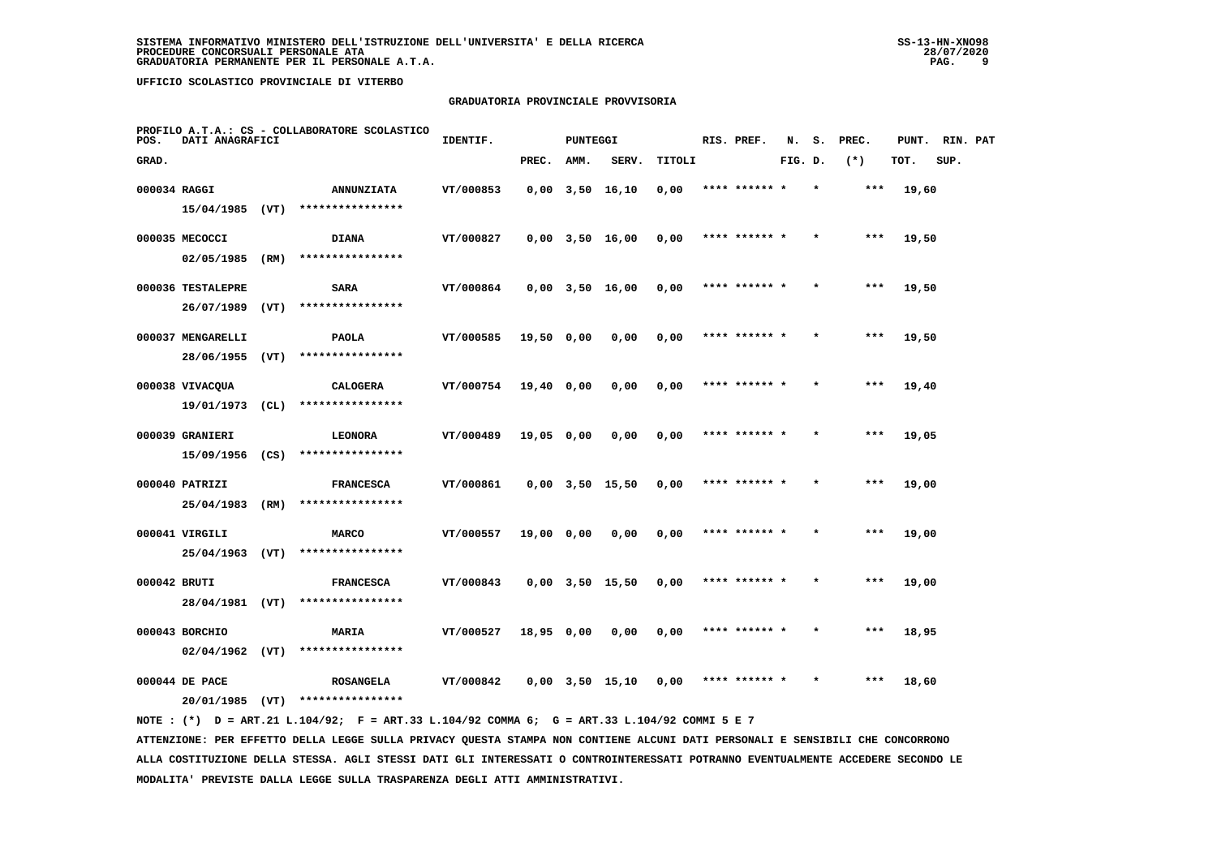# **GRADUATORIA PROVINCIALE PROVVISORIA**

| POS.  | DATI ANAGRAFICI   |      | PROFILO A.T.A.: CS - COLLABORATORE SCOLASTICO | IDENTIF.  |            | PUNTEGGI |                       |        | RIS. PREF.    | N.      | s.      | PREC. | PUNT. | RIN. PAT |  |
|-------|-------------------|------|-----------------------------------------------|-----------|------------|----------|-----------------------|--------|---------------|---------|---------|-------|-------|----------|--|
| GRAD. |                   |      |                                               |           | PREC.      | AMM.     | SERV.                 | TITOLI |               | FIG. D. |         | $(*)$ | TOT.  | SUP.     |  |
|       | 000034 RAGGI      |      | <b>ANNUNZIATA</b>                             | VT/000853 |            |          | $0,00$ $3,50$ $16,10$ | 0,00   | **** ****** * |         |         | $***$ | 19,60 |          |  |
|       | 15/04/1985 (VT)   |      | ****************                              |           |            |          |                       |        |               |         |         |       |       |          |  |
|       | 000035 MECOCCI    |      | <b>DIANA</b>                                  | VT/000827 |            |          | $0,00$ $3,50$ $16,00$ | 0,00   | **** ****** * |         |         | $***$ | 19,50 |          |  |
|       | 02/05/1985        | (RM) | ****************                              |           |            |          |                       |        |               |         |         |       |       |          |  |
|       | 000036 TESTALEPRE |      | <b>SARA</b>                                   | VT/000864 |            |          | $0,00$ $3,50$ $16,00$ | 0,00   | **** ****** * |         | $\star$ | ***   | 19,50 |          |  |
|       | 26/07/1989        | (VT) | ****************                              |           |            |          |                       |        |               |         |         |       |       |          |  |
|       | 000037 MENGARELLI |      | <b>PAOLA</b>                                  | VT/000585 | 19,50 0,00 |          | 0,00                  | 0,00   | **** ****** * |         |         | $***$ | 19,50 |          |  |
|       | 28/06/1955        | (VT) | ****************                              |           |            |          |                       |        |               |         |         |       |       |          |  |
|       | 000038 VIVACOUA   |      | <b>CALOGERA</b>                               | VT/000754 | 19,40 0,00 |          | 0,00                  | 0,00   | **** ****** * |         |         | ***   | 19,40 |          |  |
|       | 19/01/1973        | (CL) | ****************                              |           |            |          |                       |        |               |         |         |       |       |          |  |
|       | 000039 GRANIERI   |      | LEONORA                                       | VT/000489 | 19,05 0,00 |          | 0.00                  | 0,00   | **** ****** * |         | $\star$ | $***$ | 19,05 |          |  |
|       | 15/09/1956        | (CS) | ****************                              |           |            |          |                       |        |               |         |         |       |       |          |  |
|       | 000040 PATRIZI    |      | <b>FRANCESCA</b>                              | VT/000861 |            |          | $0,00$ $3,50$ $15,50$ | 0,00   |               |         |         | $***$ | 19,00 |          |  |
|       | 25/04/1983 (RM)   |      | ****************                              |           |            |          |                       |        |               |         |         |       |       |          |  |
|       | 000041 VIRGILI    |      | <b>MARCO</b>                                  | VT/000557 | 19,00 0,00 |          | 0,00                  | 0,00   | **** ****** * |         |         | $***$ | 19,00 |          |  |
|       | 25/04/1963        | (VT) | ****************                              |           |            |          |                       |        |               |         |         |       |       |          |  |
|       | 000042 BRUTI      |      | <b>FRANCESCA</b>                              | VT/000843 |            |          | $0,00$ $3,50$ $15,50$ | 0,00   | **** ****** * |         | $\star$ | ***   | 19,00 |          |  |
|       | 28/04/1981 (VT)   |      | ****************                              |           |            |          |                       |        |               |         |         |       |       |          |  |
|       | 000043 BORCHIO    |      | <b>MARIA</b>                                  | VT/000527 | 18,95 0,00 |          | 0,00                  | 0,00   | **** ****** * |         |         | $***$ | 18,95 |          |  |
|       | $02/04/1962$ (VT) |      | ****************                              |           |            |          |                       |        |               |         |         |       |       |          |  |
|       | 000044 DE PACE    |      | <b>ROSANGELA</b>                              | VT/000842 |            |          | $0,00$ $3,50$ $15,10$ | 0.00   | **** ****** * |         |         | ***   | 18,60 |          |  |
|       | 20/01/1985        | (VT) | ****************                              |           |            |          |                       |        |               |         |         |       |       |          |  |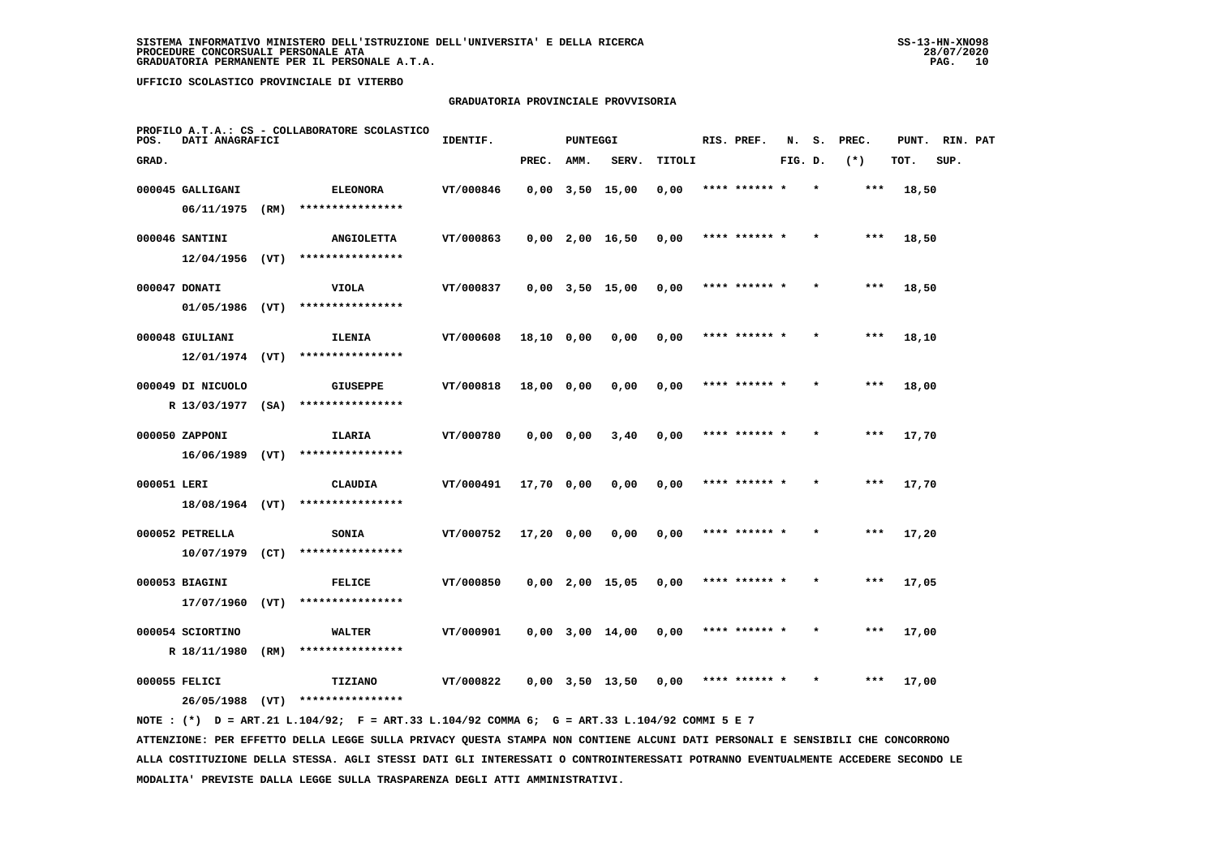# **GRADUATORIA PROVINCIALE PROVVISORIA**

| POS.        | DATI ANAGRAFICI   |      | PROFILO A.T.A.: CS - COLLABORATORE SCOLASTICO | IDENTIF.  |              | <b>PUNTEGGI</b> |                       |        | RIS. PREF.    | N.      | s.      | PREC. | PUNT. | RIN. PAT |  |
|-------------|-------------------|------|-----------------------------------------------|-----------|--------------|-----------------|-----------------------|--------|---------------|---------|---------|-------|-------|----------|--|
| GRAD.       |                   |      |                                               |           | PREC.        | AMM.            | SERV.                 | TITOLI |               | FIG. D. |         | $(*)$ | TOT.  | SUP.     |  |
|             | 000045 GALLIGANI  |      | <b>ELEONORA</b>                               | VT/000846 |              |                 | $0,00$ $3,50$ $15,00$ | 0,00   | **** ****** * |         | $\star$ | $***$ | 18,50 |          |  |
|             | 06/11/1975        | (RM) | ****************                              |           |              |                 |                       |        |               |         |         |       |       |          |  |
|             | 000046 SANTINI    |      | <b>ANGIOLETTA</b>                             | VT/000863 |              |                 | $0,00$ 2,00 16,50     | 0,00   | **** ****** * |         |         | $***$ | 18,50 |          |  |
|             | $12/04/1956$ (VT) |      | ****************                              |           |              |                 |                       |        |               |         |         |       |       |          |  |
|             | 000047 DONATI     |      | VIOLA                                         | VT/000837 |              |                 | $0,00$ $3,50$ $15,00$ | 0,00   | **** ****** * |         |         | $***$ | 18,50 |          |  |
|             | 01/05/1986        | (VT) | ****************                              |           |              |                 |                       |        |               |         |         |       |       |          |  |
|             | 000048 GIULIANI   |      | ILENIA                                        | VT/000608 | 18,10 0,00   |                 | 0,00                  | 0,00   | **** ****** * |         |         | $***$ | 18,10 |          |  |
|             | $12/01/1974$ (VT) |      | ****************                              |           |              |                 |                       |        |               |         |         |       |       |          |  |
|             | 000049 DI NICUOLO |      | <b>GIUSEPPE</b>                               | VT/000818 | 18,00 0,00   |                 | 0,00                  | 0,00   | **** ****** * |         |         | $***$ | 18,00 |          |  |
|             | R 13/03/1977 (SA) |      | ****************                              |           |              |                 |                       |        |               |         |         |       |       |          |  |
|             | 000050 ZAPPONI    |      | ILARIA                                        | VT/000780 |              | 0,0000,00       | 3,40                  | 0,00   |               |         |         | $***$ | 17,70 |          |  |
|             | 16/06/1989        | (VT) | ****************                              |           |              |                 |                       |        |               |         |         |       |       |          |  |
| 000051 LERI |                   |      | CLAUDIA                                       | VT/000491 | 17,70 0,00   |                 | 0,00                  | 0,00   | **** ****** * |         |         | ***   | 17,70 |          |  |
|             | 18/08/1964 (VT)   |      | ****************                              |           |              |                 |                       |        |               |         |         |       |       |          |  |
|             | 000052 PETRELLA   |      | SONIA                                         | VT/000752 | $17,20$ 0,00 |                 | 0,00                  | 0,00   | **** ****** * |         |         | ***   | 17,20 |          |  |
|             | 10/07/1979        | (CT) | ****************                              |           |              |                 |                       |        |               |         |         |       |       |          |  |
|             | 000053 BIAGINI    |      | <b>FELICE</b>                                 | VT/000850 |              |                 | $0,00$ 2,00 15,05     | 0,00   | **** ****** * |         |         | ***   | 17,05 |          |  |
|             | 17/07/1960        | (VT) | ****************                              |           |              |                 |                       |        |               |         |         |       |       |          |  |
|             | 000054 SCIORTINO  |      | WALTER                                        | VT/000901 |              |                 | $0,00$ $3,00$ $14,00$ | 0,00   | **** ****** * |         |         | $***$ | 17,00 |          |  |
|             | R 18/11/1980      | (RM) | ****************                              |           |              |                 |                       |        |               |         |         |       |       |          |  |
|             | 000055 FELICI     |      | TIZIANO                                       | VT/000822 |              |                 | $0.00$ $3.50$ $13.50$ | 0.00   | **** ****** * |         |         | ***   | 17,00 |          |  |
|             | 26/05/1988        | (VT) | ****************                              |           |              |                 |                       |        |               |         |         |       |       |          |  |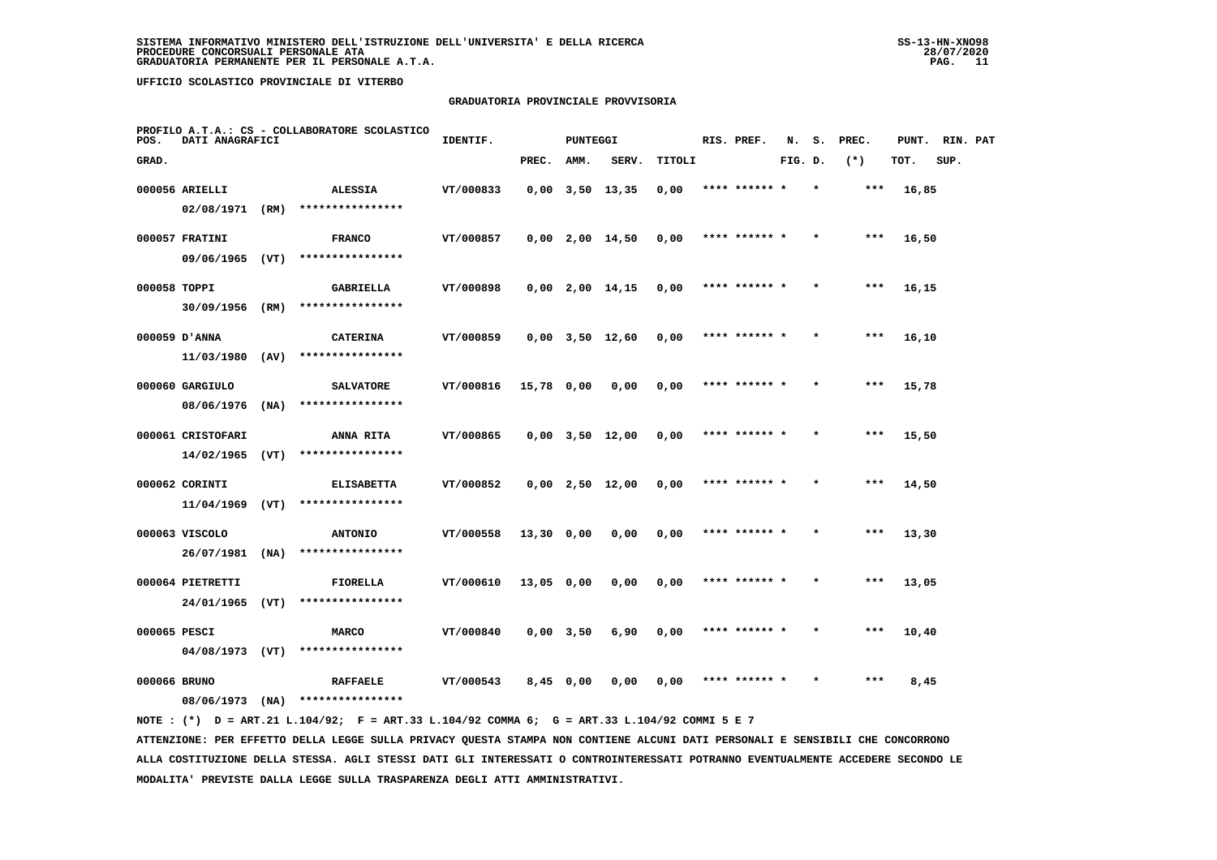# **GRADUATORIA PROVINCIALE PROVVISORIA**

| POS.         | DATI ANAGRAFICI                |      | PROFILO A.T.A.: CS - COLLABORATORE SCOLASTICO | IDENTIF.  |              | PUNTEGGI |                       |        | RIS. PREF.    | N.      | s.      | PREC. | PUNT. | RIN. PAT |  |
|--------------|--------------------------------|------|-----------------------------------------------|-----------|--------------|----------|-----------------------|--------|---------------|---------|---------|-------|-------|----------|--|
| GRAD.        |                                |      |                                               |           | PREC.        | AMM.     | SERV.                 | TITOLI |               | FIG. D. |         | $(*)$ | TOT.  | SUP.     |  |
|              | 000056 ARIELLI                 |      | <b>ALESSIA</b>                                | VT/000833 |              |          | $0,00$ $3,50$ $13,35$ | 0,00   | **** ****** * |         |         | $***$ | 16,85 |          |  |
|              | 02/08/1971 (RM)                |      | ****************                              |           |              |          |                       |        |               |         |         |       |       |          |  |
|              | 000057 FRATINI                 |      | <b>FRANCO</b>                                 | VT/000857 |              |          | $0,00$ 2,00 14,50     | 0,00   | **** ****** * |         |         | $***$ | 16,50 |          |  |
|              | 09/06/1965                     | (VT) | ****************                              |           |              |          |                       |        |               |         |         |       |       |          |  |
| 000058 TOPPI |                                |      | GABRIELLA                                     | VT/000898 |              |          | $0,00$ 2,00 14,15     | 0,00   | **** ****** * |         | $\star$ | ***   | 16,15 |          |  |
|              | 30/09/1956                     | (RM) | ****************                              |           |              |          |                       |        |               |         |         |       |       |          |  |
|              | 000059 D'ANNA                  |      | <b>CATERINA</b>                               | VT/000859 |              |          | $0,00$ $3,50$ $12,60$ | 0,00   | **** ****** * |         |         | $***$ | 16,10 |          |  |
|              | 11/03/1980                     | (AV) | ****************                              |           |              |          |                       |        |               |         |         |       |       |          |  |
|              | 000060 GARGIULO                |      | <b>SALVATORE</b>                              | VT/000816 | 15,78 0,00   |          | 0,00                  | 0,00   | **** ****** * |         |         | $***$ | 15,78 |          |  |
|              | 08/06/1976                     | (NA) | ****************                              |           |              |          |                       |        |               |         |         |       |       |          |  |
|              | 000061 CRISTOFARI              |      | ANNA RITA                                     | VT/000865 |              |          | $0.00$ $3.50$ $12.00$ | 0,00   | **** ****** * |         | $\star$ | ***   | 15,50 |          |  |
|              | 14/02/1965                     | (VT) | ****************                              |           |              |          |                       |        |               |         |         |       |       |          |  |
|              | 000062 CORINTI                 |      | <b>ELISABETTA</b><br>****************         | VT/000852 |              |          | $0,00$ 2,50 12,00     | 0,00   |               |         |         | $***$ | 14,50 |          |  |
|              | $11/04/1969$ (VT)              |      |                                               |           |              |          |                       |        |               |         |         |       |       |          |  |
|              | 000063 VISCOLO<br>26/07/1981   | (NA) | <b>ANTONIO</b><br>****************            | VT/000558 | $13,30$ 0,00 |          | 0,00                  | 0,00   | **** ****** * |         |         | $***$ | 13,30 |          |  |
|              |                                |      |                                               |           |              |          |                       |        |               |         |         |       |       |          |  |
|              | 000064 PIETRETTI<br>24/01/1965 | (VT) | FIORELLA<br>****************                  | VT/000610 | $13,05$ 0,00 |          | 0,00                  | 0,00   | **** ****** * |         | $\star$ | ***   | 13,05 |          |  |
|              |                                |      |                                               |           |              |          |                       |        |               |         |         |       |       |          |  |
| 000065 PESCI | $04/08/1973$ (VT)              |      | <b>MARCO</b><br>****************              | VT/000840 | $0,00$ 3,50  |          | 6,90                  | 0,00   |               |         |         | $***$ | 10,40 |          |  |
|              |                                |      |                                               |           |              |          |                       |        |               |         |         | ***   |       |          |  |
| 000066 BRUNO | 08/06/1973                     | (NA) | <b>RAFFAELE</b><br>****************           | VT/000543 | $8,45$ 0,00  |          | 0,00                  | 0,00   | **** ****** * |         |         |       | 8,45  |          |  |
|              |                                |      |                                               |           |              |          |                       |        |               |         |         |       |       |          |  |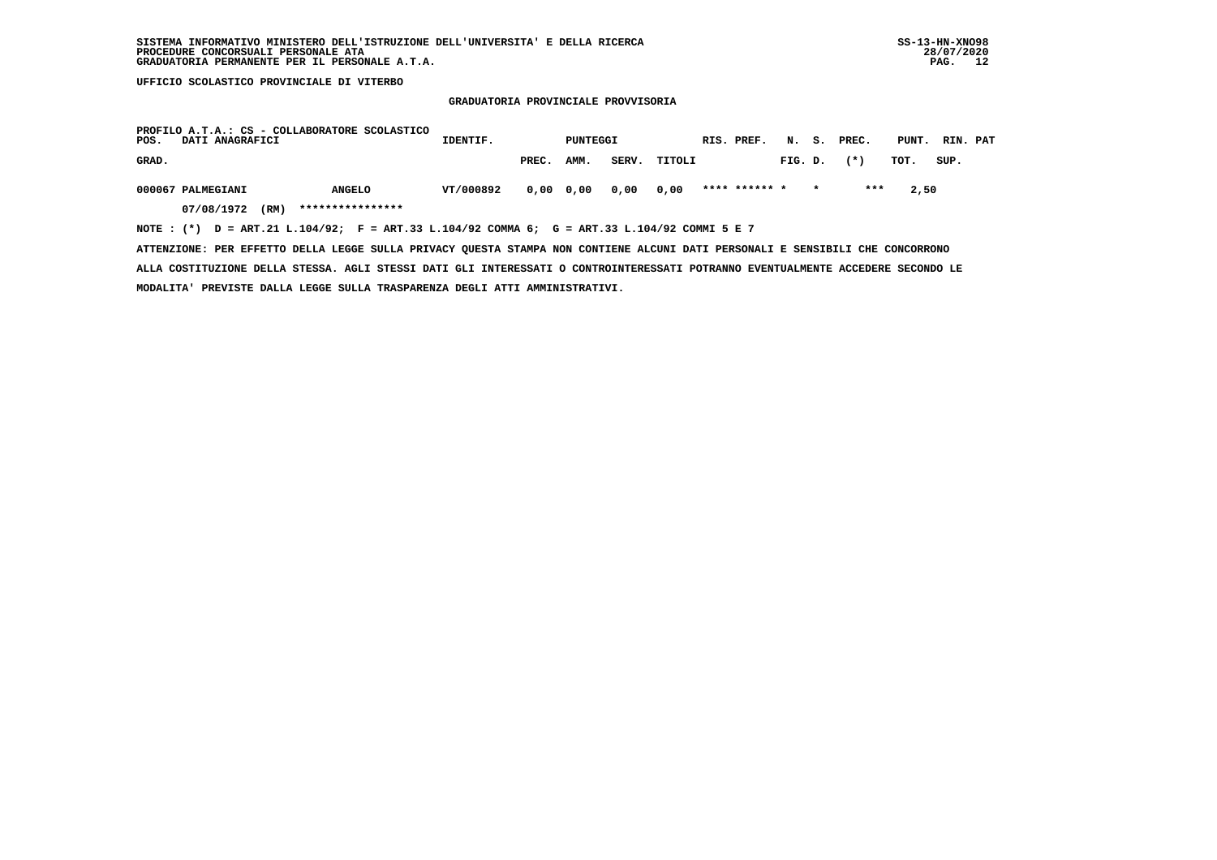# **GRADUATORIA PROVINCIALE PROVVISORIA**

| PROFILO A.T.A.: CS - COLLABORATORE SCOLASTICO<br>POS.<br>DATI ANAGRAFICI                    | IDENTIF.  |       | PUNTEGGI  |       |        | RIS. PREF.    |         | N. S. PREC. | PUNT. | RIN. PAT |
|---------------------------------------------------------------------------------------------|-----------|-------|-----------|-------|--------|---------------|---------|-------------|-------|----------|
| GRAD.                                                                                       |           | PREC. | AMM.      | SERV. | TITOLI |               | FIG. D. | $(* )$      | TOT.  | SUP.     |
| 000067 PALMEGIANI<br><b>ANGELO</b>                                                          | VT/000892 |       | 0,00 0,00 | 0,00  | 0.00   | **** ****** * |         | ***         | 2,50  |          |
| ****************<br>07/08/1972<br>(RM)                                                      |           |       |           |       |        |               |         |             |       |          |
| NOTE: (*) D = ART.21 L.104/92; F = ART.33 L.104/92 COMMA 6; G = ART.33 L.104/92 COMMI 5 E 7 |           |       |           |       |        |               |         |             |       |          |

 **ATTENZIONE: PER EFFETTO DELLA LEGGE SULLA PRIVACY QUESTA STAMPA NON CONTIENE ALCUNI DATI PERSONALI E SENSIBILI CHE CONCORRONO**

 **ALLA COSTITUZIONE DELLA STESSA. AGLI STESSI DATI GLI INTERESSATI O CONTROINTERESSATI POTRANNO EVENTUALMENTE ACCEDERE SECONDO LE MODALITA' PREVISTE DALLA LEGGE SULLA TRASPARENZA DEGLI ATTI AMMINISTRATIVI.**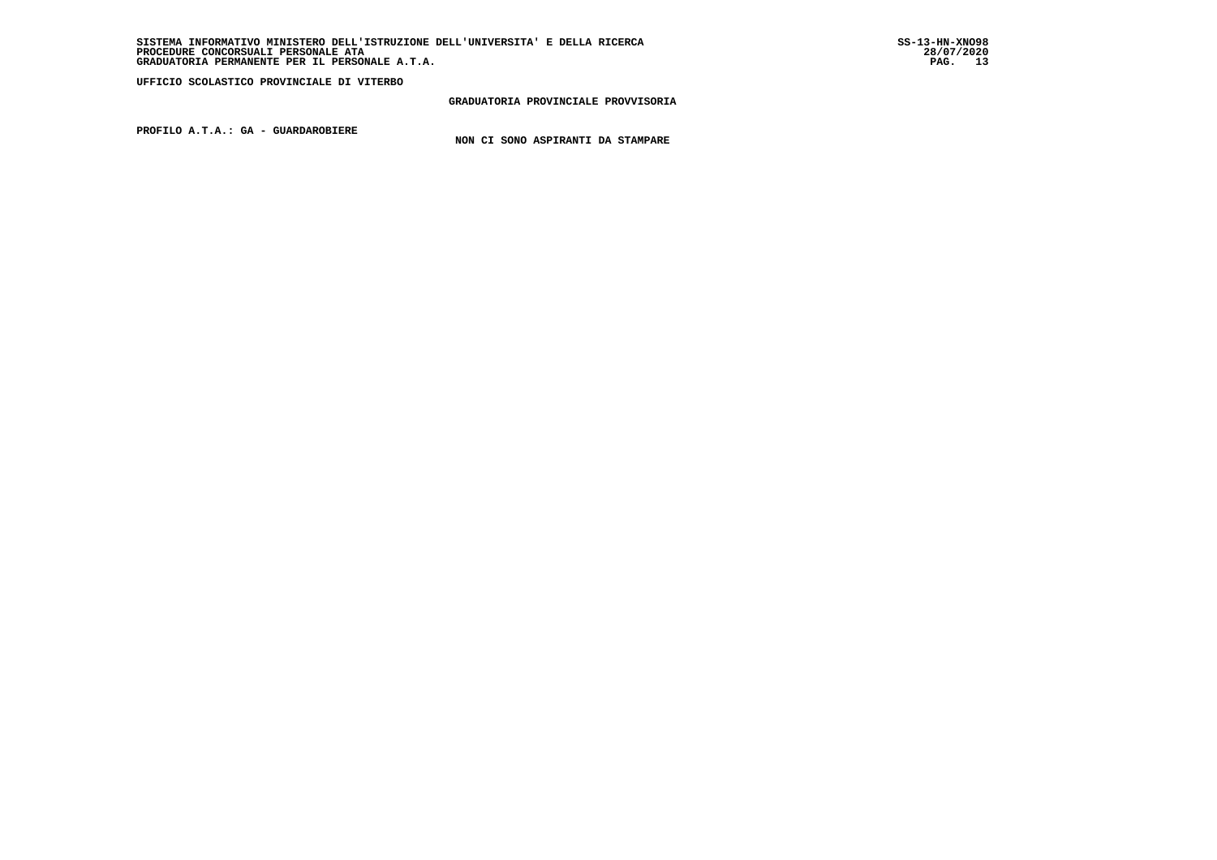# **GRADUATORIA PROVINCIALE PROVVISORIA**

 **PROFILO A.T.A.: GA - GUARDAROBIERE**

 **NON CI SONO ASPIRANTI DA STAMPARE**